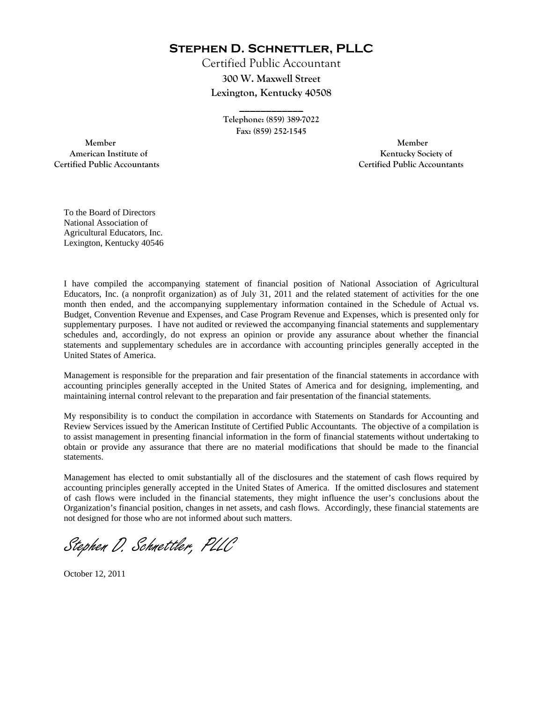**Stephen D. Schnettler, PLLC**

Certified Public Accountant **300 W. Maxwell Street Lexington, Kentucky 40508** 

> **Telephone: (859) 389-7022 Fax: (859) 252-1545**

**\_\_\_\_\_\_\_\_\_\_\_\_** 

 **Member Member Certified Public Accountants Certified Public Accountants** 

American Institute of **Kentucky Society of American Institute of** 

To the Board of Directors National Association of Agricultural Educators, Inc. Lexington, Kentucky 40546

I have compiled the accompanying statement of financial position of National Association of Agricultural Educators, Inc. (a nonprofit organization) as of July 31, 2011 and the related statement of activities for the one month then ended, and the accompanying supplementary information contained in the Schedule of Actual vs. Budget, Convention Revenue and Expenses, and Case Program Revenue and Expenses, which is presented only for supplementary purposes. I have not audited or reviewed the accompanying financial statements and supplementary schedules and, accordingly, do not express an opinion or provide any assurance about whether the financial statements and supplementary schedules are in accordance with accounting principles generally accepted in the United States of America.

Management is responsible for the preparation and fair presentation of the financial statements in accordance with accounting principles generally accepted in the United States of America and for designing, implementing, and maintaining internal control relevant to the preparation and fair presentation of the financial statements.

My responsibility is to conduct the compilation in accordance with Statements on Standards for Accounting and Review Services issued by the American Institute of Certified Public Accountants. The objective of a compilation is to assist management in presenting financial information in the form of financial statements without undertaking to obtain or provide any assurance that there are no material modifications that should be made to the financial statements.

Management has elected to omit substantially all of the disclosures and the statement of cash flows required by accounting principles generally accepted in the United States of America. If the omitted disclosures and statement of cash flows were included in the financial statements, they might influence the user's conclusions about the Organization's financial position, changes in net assets, and cash flows. Accordingly, these financial statements are not designed for those who are not informed about such matters.

Stephen D. Schnettler, PLLC

October 12, 2011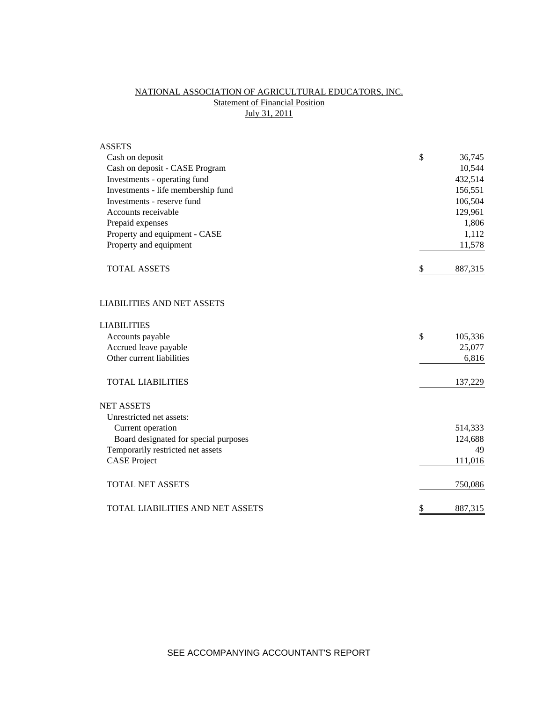# NATIONAL ASSOCIATION OF AGRICULTURAL EDUCATORS, INC. **Statement of Financial Position** July 31, 2011

| <b>ASSETS</b>                         |               |
|---------------------------------------|---------------|
| Cash on deposit                       | \$<br>36,745  |
| Cash on deposit - CASE Program        | 10,544        |
| Investments - operating fund          | 432,514       |
| Investments - life membership fund    | 156,551       |
| Investments - reserve fund            | 106,504       |
| Accounts receivable                   | 129,961       |
| Prepaid expenses                      | 1,806         |
| Property and equipment - CASE         | 1,112         |
| Property and equipment                | 11,578        |
| <b>TOTAL ASSETS</b>                   | \$<br>887,315 |
| <b>LIABILITIES AND NET ASSETS</b>     |               |
| <b>LIABILITIES</b>                    |               |
| Accounts payable                      | \$<br>105,336 |
| Accrued leave payable                 | 25,077        |
| Other current liabilities             | 6,816         |
| <b>TOTAL LIABILITIES</b>              | 137,229       |
| <b>NET ASSETS</b>                     |               |
| Unrestricted net assets:              |               |
| Current operation                     | 514,333       |
| Board designated for special purposes | 124,688       |
| Temporarily restricted net assets     | 49            |
| <b>CASE Project</b>                   | 111,016       |
| <b>TOTAL NET ASSETS</b>               | 750,086       |
| TOTAL LIABILITIES AND NET ASSETS      | \$<br>887,315 |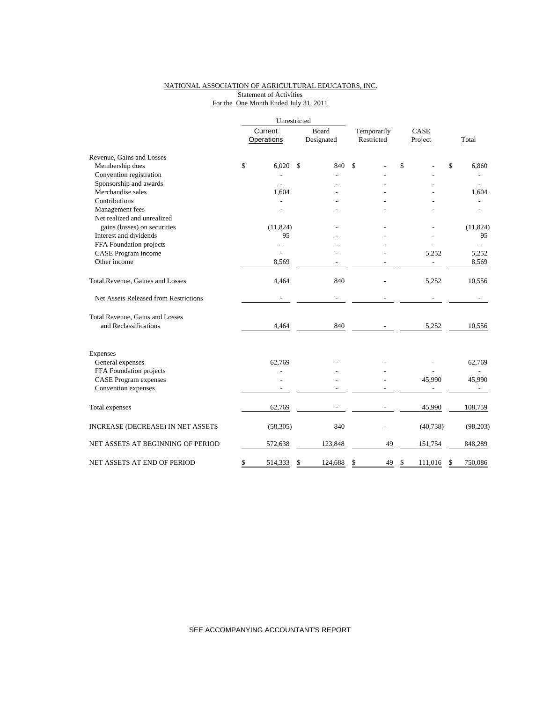### NATIONAL ASSOCIATION OF AGRICULTURAL EDUCATORS, INC. Statement of Activities For the One Month Ended July 31, 2011

|                                       | Unrestricted |            |       |            |             |                    |             |  |
|---------------------------------------|--------------|------------|-------|------------|-------------|--------------------|-------------|--|
|                                       | Current      |            | Board |            | Temporarily | CASE               |             |  |
|                                       |              | Operations |       | Designated | Restricted  | Project            | Total       |  |
| Revenue, Gains and Losses             |              |            |       |            |             |                    |             |  |
| Membership dues                       | \$           | 6,020      | \$    | 840        | \$          | \$                 | \$<br>6,860 |  |
| Convention registration               |              |            |       |            |             |                    |             |  |
| Sponsorship and awards                |              |            |       |            |             |                    |             |  |
| Merchandise sales                     |              | 1,604      |       |            |             |                    | 1,604       |  |
| Contributions                         |              |            |       |            |             |                    |             |  |
| Management fees                       |              |            |       |            |             |                    |             |  |
| Net realized and unrealized           |              |            |       |            |             |                    |             |  |
| gains (losses) on securities          |              | (11, 824)  |       |            |             |                    | (11, 824)   |  |
| Interest and dividends                |              | 95         |       |            |             |                    | 95          |  |
| FFA Foundation projects               |              | -          |       |            |             |                    |             |  |
| CASE Program income                   |              |            |       |            |             | 5,252              | 5,252       |  |
| Other income                          |              | 8.569      |       |            |             | ÷,                 | 8,569       |  |
| Total Revenue, Gaines and Losses      |              | 4,464      |       | 840        |             | 5,252              | 10,556      |  |
| Net Assets Released from Restrictions |              |            |       |            |             |                    |             |  |
| Total Revenue, Gains and Losses       |              |            |       |            |             |                    |             |  |
| and Reclassifications                 |              | 4,464      |       | 840        |             | 5,252              | 10,556      |  |
| Expenses                              |              |            |       |            |             |                    |             |  |
| General expenses                      |              | 62,769     |       |            |             |                    | 62,769      |  |
| FFA Foundation projects               |              |            |       |            |             |                    |             |  |
| <b>CASE Program expenses</b>          |              |            |       |            |             | 45,990             | 45,990      |  |
| Convention expenses                   |              |            |       |            |             |                    |             |  |
| Total expenses                        |              | 62,769     |       |            |             | 45,990             | 108,759     |  |
| INCREASE (DECREASE) IN NET ASSETS     |              | (58, 305)  |       | 840        |             | (40, 738)          | (98,203)    |  |
| NET ASSETS AT BEGINNING OF PERIOD     |              | 572,638    |       | 123,848    | 49          | 151,754            | 848,289     |  |
| NET ASSETS AT END OF PERIOD           | \$           | 514,333    | \$    | 124,688    | \$<br>49    | \$<br>111,016<br>S | 750,086     |  |

SEE ACCOMPANYING ACCOUNTANT'S REPORT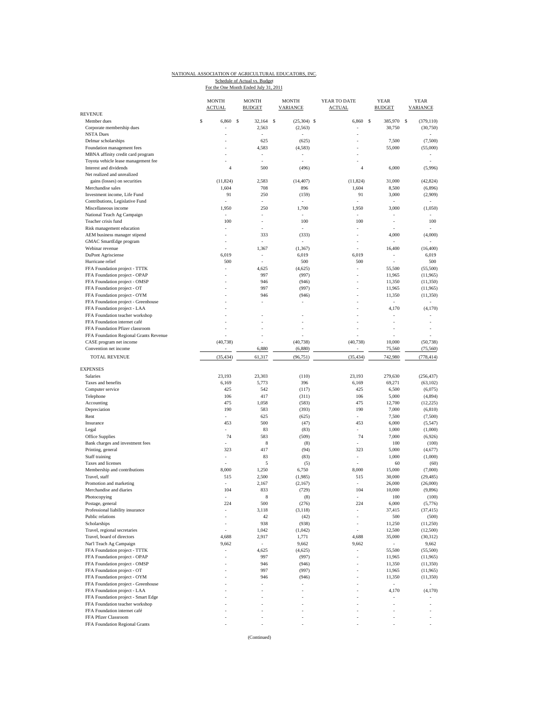### NATIONAL ASSOCIATION OF AGRICULTURAL EDUCATORS, INC. Schedule of Actual vs. Budget<br>For the One Month Ended July 31, 2011

| <b>REVENUE</b>                                        | <b>MONTH</b><br><b>ACTUAL</b> | <b>MONTH</b><br><b>BUDGET</b> | <b>MONTH</b><br><b>VARIANCE</b> | YEAR TO DATE<br><b>ACTUAL</b> | <b>YEAR</b><br><b>BUDGET</b> | <b>YEAR</b><br><b>VARIANCE</b> |
|-------------------------------------------------------|-------------------------------|-------------------------------|---------------------------------|-------------------------------|------------------------------|--------------------------------|
| Member dues                                           | S<br>6,860                    | <b>S</b><br>32,164 \$         | $(25,304)$ \$                   | 6,860                         | -S<br>385,970                | <sub>S</sub><br>(379, 110)     |
| Corporate membership dues                             |                               | 2,563                         | (2, 563)                        |                               | 30,750                       | (30,750)                       |
| <b>NSTA Dues</b>                                      |                               | ÷,                            |                                 | ÷                             |                              |                                |
| Delmar scholarships                                   |                               | 625                           | (625)                           |                               | 7,500                        | (7,500)                        |
| Foundation management fees                            |                               | 4,583                         | (4, 583)                        |                               | 55,000                       | (55,000)                       |
| MBNA affinity credit card program                     |                               |                               |                                 |                               |                              |                                |
| Toyota vehicle lease management fee                   |                               | ä,                            | ÷,                              |                               |                              |                                |
| Interest and dividends                                | $\overline{4}$                | 500                           | (496)                           | 4                             | 6,000                        | (5,996)                        |
| Net realized and unrealized                           |                               |                               |                                 |                               |                              |                                |
| gains (losses) on securities                          | (11, 824)                     | 2,583                         | (14, 407)                       | (11, 824)                     | 31,000                       | (42, 824)                      |
| Merchandise sales<br>Investment income, Life Fund     | 1,604<br>91                   | 708<br>250                    | 896<br>(159)                    | 1,604<br>91                   | 8,500<br>3,000               | (6,896)<br>(2,909)             |
| Contributions, Legislative Fund                       |                               | ÷,                            |                                 |                               |                              |                                |
| Miscellaneous income                                  | 1,950                         | 250                           | 1,700                           | 1,950                         | 3,000                        | (1,050)                        |
| National Teach Ag Campaign                            |                               | ÷,                            |                                 |                               |                              |                                |
| Teacher crisis fund                                   | 100                           |                               | 100                             | 100                           |                              | 100                            |
| Risk management education                             |                               | ÷                             |                                 |                               |                              |                                |
| AEM business manager stipend                          |                               | 333                           | (333)                           | ÷,                            | 4,000                        | (4,000)                        |
| GMAC SmartEdge program                                |                               | ÷,                            |                                 |                               |                              |                                |
| Webinar revenue                                       |                               | 1,367                         | (1, 367)                        |                               | 16,400                       | (16, 400)                      |
| DuPont Agrisciense                                    | 6,019                         | ÷,                            | 6,019                           | 6,019                         | ÷,                           | 6,019                          |
| Hurricane relief                                      | 500                           | $\overline{\phantom{a}}$      | 500                             | 500                           |                              | 500                            |
| FFA Foundation project - TTTK                         |                               | 4,625                         | (4,625)                         | ä,                            | 55,500                       | (55,500)                       |
| FFA Foundation project - OPAP                         |                               | 997                           | (997)                           |                               | 11,965                       | (11,965)                       |
| FFA Foundation project - OMSP                         |                               | 946                           | (946)                           |                               | 11,350                       | (11, 350)                      |
| FFA Foundation project - OT                           |                               | 997                           | (997)                           |                               | 11,965                       | (11,965)                       |
| FFA Foundation project - OYM                          |                               | 946                           | (946)                           |                               | 11,350                       | (11, 350)                      |
| FFA Foundation project - Greenhouse                   |                               |                               | ٠                               |                               | $\overline{\phantom{a}}$     | ÷.                             |
| FFA Foundation project - LAA                          |                               |                               |                                 |                               | 4,170                        | (4,170)                        |
| FFA Foundation teacher workshop                       |                               |                               |                                 |                               |                              | ÷,                             |
| FFA Foundation internet café                          |                               |                               |                                 |                               |                              |                                |
| FFA Foundation Pfizer classroom                       |                               |                               |                                 |                               | ł,                           |                                |
| FFA Foundation Regional Grants Revenue                |                               |                               | (40, 738)                       |                               |                              |                                |
| CASE program net income<br>Convention net income      | (40, 738)                     | 6,880                         | (6,880)                         | (40, 738)                     | 10,000<br>75,560             | (50, 738)<br>(75, 560)         |
|                                                       |                               |                               |                                 |                               |                              |                                |
| <b>TOTAL REVENUE</b>                                  | (35, 434)                     | 61,317                        | (96, 751)                       | (35, 434)                     | 742,980                      | (778, 414)                     |
| <b>EXPENSES</b>                                       |                               |                               |                                 |                               |                              |                                |
| Salaries                                              | 23,193                        | 23,303                        | (110)                           | 23,193                        | 279,630                      | (256, 437)                     |
| Taxes and benefits                                    | 6,169                         | 5,773                         | 396                             | 6,169                         | 69,271                       | (63, 102)                      |
| Computer service                                      | 425                           | 542                           | (117)                           | 425                           | 6,500                        | (6,075)                        |
| Telephone                                             | 106                           | 417                           | (311)                           | 106                           | 5,000                        | (4,894)                        |
| Accounting                                            | 475                           | 1,058                         | (583)                           | 475                           | 12,700                       | (12, 225)                      |
| Depreciation                                          | 190                           | 583                           | (393)                           | 190                           | 7,000                        | (6, 810)                       |
| Rent                                                  | ä,                            | 625                           | (625)                           | ä,                            | 7,500                        | (7,500)                        |
| Insurance                                             | 453                           | 500                           | (47)                            | 453                           | 6,000                        | (5, 547)                       |
| Legal                                                 | ÷,                            | 83<br>583                     | (83)                            | ÷,                            | 1,000                        | (1,000)                        |
| Office Supplies                                       | 74<br>÷,                      |                               | (509)                           | 74<br>ä,                      | 7,000                        | (6,926)                        |
| Bank charges and investment fees<br>Printing, general | 323                           | 8<br>417                      | (8)<br>(94)                     | 323                           | 100<br>5,000                 | (100)<br>(4,677)               |
|                                                       |                               | 83                            |                                 | $\bar{ }$                     |                              |                                |
| Staff training<br>Taxes and licenses                  |                               | 5                             | (83)<br>(5)                     |                               | 1,000<br>60                  | (1,000)<br>(60)                |
| Membership and contributions                          | 8,000                         | 1,250                         | 6,750                           | 8,000                         | 15,000                       | (7,000)                        |
| Travel, staff                                         | 515                           | 2,500                         | (1,985)                         | 515                           | 30,000                       | (29, 485)                      |
| Promotion and marketing                               | ÷,                            | 2,167                         | (2,167)                         | ä,                            | 26,000                       | (26,000)                       |
| Merchandise and diaries                               | 104                           | 833                           | (729)                           | 104                           | 10,000                       | (9,896)                        |
| Photocopying                                          |                               | $\,$ 8 $\,$                   | (8)                             |                               | 100                          | (100)                          |
| Postage, general                                      | 224                           | 500                           | (276)                           | 224                           | 6,000                        | (5,776)                        |
| Professional liability insurance                      |                               | 3,118                         | (3, 118)                        | ä,                            | 37,415                       | (37, 415)                      |
| Public relations                                      |                               | 42                            | (42)                            | ÷,                            | 500                          | (500)                          |
| Scholarships                                          |                               | 938                           | (938)                           | ÷,                            | 11,250                       | (11,250)                       |
| Travel, regional secretaries                          |                               | 1,042                         | (1,042)                         |                               | 12,500                       | (12,500)                       |
| Travel, board of directors                            | 4,688                         | 2,917                         | 1,771                           | 4,688                         | 35,000                       | (30,312)                       |
| Nat'l Teach Ag Campaign                               | 9,662                         | $\overline{\phantom{a}}$      | 9,662                           | 9,662                         | $\sim$                       | 9,662                          |
| FFA Foundation project - TTTK                         |                               | 4,625                         | (4,625)                         | $\overline{\phantom{a}}$      | 55,500                       | (55,500)                       |
| FFA Foundation project - OPAP                         |                               | 997                           | (997)                           | ä,                            | 11,965                       | (11, 965)                      |
| FFA Foundation project - OMSP                         |                               | 946                           | (946)                           |                               | 11,350                       | (11, 350)                      |
| FFA Foundation project - OT                           |                               | 997                           | (997)                           |                               | 11,965                       | (11,965)                       |
| FFA Foundation project - OYM                          |                               | 946                           | (946)                           |                               | 11,350                       | (11,350)                       |
| FFA Foundation project - Greenhouse                   |                               |                               |                                 |                               | $\sim$                       | $\omega$                       |
| FFA Foundation project - LAA                          |                               |                               |                                 |                               | 4,170                        | (4,170)                        |
| FFA Foundation project - Smart Edge                   |                               |                               |                                 |                               |                              |                                |
| FFA Foundation teacher workshop                       |                               |                               |                                 |                               |                              |                                |
| FFA Foundation internet café                          |                               |                               |                                 |                               |                              |                                |
| FFA Pfizer Classroom                                  |                               |                               |                                 |                               |                              |                                |
| FFA Foundation Regional Grants                        |                               |                               |                                 |                               |                              |                                |

(Continued)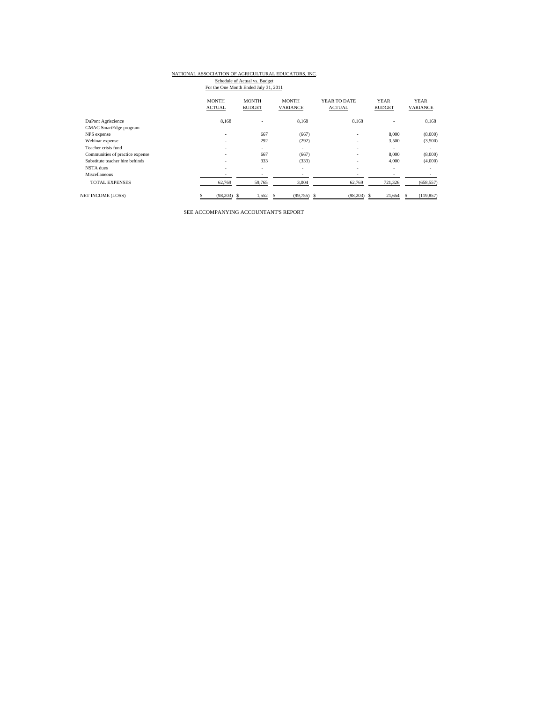#### NATIONAL ASSOCIATION OF AGRICULTURAL EDUCATORS, INC.

Schedule of Actual vs. Budget<br>For the One Month Ended July 31, 2011

|                                 | <b>MONTH</b><br><b>ACTUAL</b> | <b>MONTH</b><br><b>BUDGET</b> | <b>MONTH</b><br>VARIANCE | YEAR TO DATE<br><b>ACTUAL</b> | <b>YEAR</b><br><b>BUDGET</b> | <b>YEAR</b><br>VARIANCE |
|---------------------------------|-------------------------------|-------------------------------|--------------------------|-------------------------------|------------------------------|-------------------------|
| DuPont Agriscience              | 8.168                         | ٠                             | 8.168                    | 8.168                         |                              | 8,168                   |
| <b>GMAC</b> SmartEdge program   | ٠                             |                               | $\overline{\phantom{a}}$ | ۰                             |                              | ٠                       |
| NPS expense                     | ۰.                            | 667                           | (667)                    | ۰                             | 8,000                        | (8,000)                 |
| Webinar expense                 | ٠                             | 292                           | (292)                    | ٠                             | 3,500                        | (3,500)                 |
| Teacher crisis fund             | ۰                             | $\overline{\phantom{a}}$      | $\sim$                   | ۰                             |                              | ۰.                      |
| Communities of practice expense | ۰                             | 667                           | (667)                    | ۰                             | 8,000                        | (8,000)                 |
| Substitute teacher hire behinds | ۰                             | 333                           | (333)                    | ۰                             | 4,000                        | (4,000)                 |
| NSTA dues                       | ۰                             | $\overline{\phantom{a}}$      | $\overline{\phantom{a}}$ | ۰                             | <b>.</b>                     | ٠                       |
| Miscellaneous                   | ٠                             |                               | $\overline{\phantom{a}}$ | ٠                             | $\overline{\phantom{a}}$     |                         |
| <b>TOTAL EXPENSES</b>           | 62,769                        | 59,765                        | 3,004                    | 62,769                        | 721,326                      | (658, 557)              |
| <b>NET INCOME (LOSS)</b>        | (98,203)                      | 1,552<br>s                    | (99, 755)                | (98, 203)<br>S                | 21,654                       | (119, 857)              |

SEE ACCOMPANYING ACCOUNTANT'S REPORT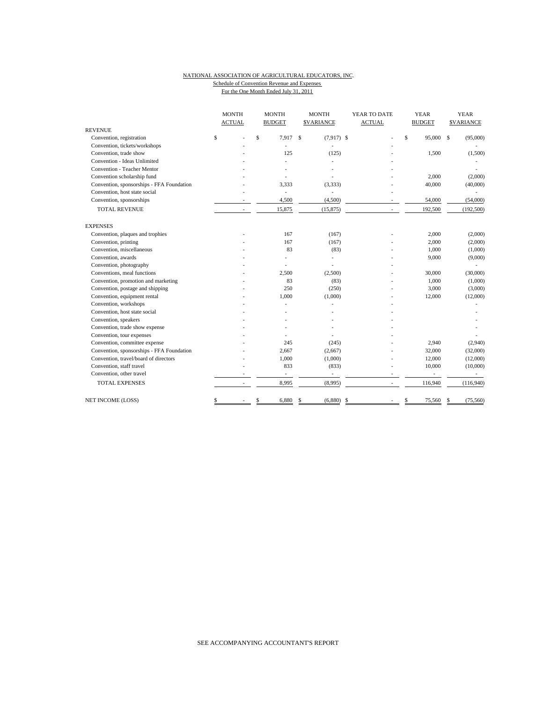#### NATIONAL ASSOCIATION OF AGRICULTURAL EDUCATORS, INC. Schedule of Convention Revenue and Expenses For the One Month Ended July 31, 2011

|                                           | <b>MONTH</b><br><b>MONTH</b><br><b>ACTUAL</b><br><b>BUDGET</b> |                          |              | <b>MONTH</b><br><b>SVARIANCE</b> |              |              | YEAR TO DATE<br><b>ACTUAL</b> |    | <b>YEAR</b><br><b>BUDGET</b> |           | <b>YEAR</b><br><b>\$VARIANCE</b> |            |
|-------------------------------------------|----------------------------------------------------------------|--------------------------|--------------|----------------------------------|--------------|--------------|-------------------------------|----|------------------------------|-----------|----------------------------------|------------|
| <b>REVENUE</b>                            |                                                                |                          |              |                                  |              |              |                               |    |                              |           |                                  |            |
| Convention, registration                  | \$                                                             |                          | $\mathsf{s}$ | 7.917                            | $\mathbf{s}$ | $(7.917)$ \$ |                               | ÷, | \$                           | 95,000 \$ |                                  | (95,000)   |
| Convention, tickets/workshops             |                                                                |                          |              |                                  |              |              |                               |    |                              |           |                                  |            |
| Convention, trade show                    |                                                                |                          |              | 125                              |              | (125)        |                               |    |                              | 1,500     |                                  | (1,500)    |
| Convention - Ideas Unlimited              |                                                                |                          |              |                                  |              |              |                               |    |                              |           |                                  |            |
| Convention - Teacher Mentor               |                                                                |                          |              |                                  |              |              |                               |    |                              |           |                                  |            |
| Convention scholarship fund               |                                                                |                          |              |                                  |              |              |                               |    |                              | 2,000     |                                  | (2,000)    |
| Convention, sponsorships - FFA Foundation |                                                                |                          |              | 3,333                            |              | (3, 333)     |                               |    |                              | 40,000    |                                  | (40,000)   |
| Convention, host state social             |                                                                |                          |              | ÷.                               |              |              |                               |    |                              |           |                                  |            |
| Convention, sponsorships                  |                                                                |                          |              | 4,500                            |              | (4,500)      |                               |    |                              | 54,000    |                                  | (54,000)   |
| <b>TOTAL REVENUE</b>                      |                                                                |                          |              | 15,875                           |              | (15, 875)    |                               |    |                              | 192,500   |                                  | (192, 500) |
| <b>EXPENSES</b>                           |                                                                |                          |              |                                  |              |              |                               |    |                              |           |                                  |            |
| Convention, plaques and trophies          |                                                                |                          |              | 167                              |              | (167)        |                               |    |                              | 2,000     |                                  | (2,000)    |
| Convention, printing                      |                                                                |                          |              | 167                              |              | (167)        |                               |    |                              | 2,000     |                                  | (2,000)    |
| Convention, miscellaneous                 |                                                                |                          |              | 83                               |              | (83)         |                               |    |                              | 1,000     |                                  | (1,000)    |
| Convention, awards                        |                                                                |                          |              |                                  |              |              |                               |    |                              | 9,000     |                                  | (9,000)    |
| Convention, photography                   |                                                                |                          |              |                                  |              |              |                               |    |                              |           |                                  |            |
| Conventions, meal functions               |                                                                |                          |              | 2,500                            |              | (2,500)      |                               |    |                              | 30,000    |                                  | (30,000)   |
| Convention, promotion and marketing       |                                                                |                          |              | 83                               |              | (83)         |                               |    |                              | 1,000     |                                  | (1,000)    |
| Convention, postage and shipping          |                                                                |                          |              | 250                              |              | (250)        |                               |    |                              | 3,000     |                                  | (3,000)    |
| Convention, equipment rental              |                                                                |                          |              | 1,000                            |              | (1,000)      |                               |    |                              | 12,000    |                                  | (12,000)   |
| Convention, workshops                     |                                                                |                          |              |                                  |              |              |                               |    |                              |           |                                  |            |
| Convention, host state social             |                                                                |                          |              |                                  |              |              |                               |    |                              |           |                                  |            |
| Convention, speakers                      |                                                                |                          |              |                                  |              |              |                               |    |                              |           |                                  |            |
| Convention, trade show expense            |                                                                |                          |              |                                  |              |              |                               |    |                              |           |                                  |            |
| Convention, tour expenses                 |                                                                |                          |              |                                  |              |              |                               |    |                              |           |                                  |            |
| Convention, committee expense             |                                                                |                          |              | 245                              |              | (245)        |                               |    |                              | 2,940     |                                  | (2,940)    |
| Convention, sponsorships - FFA Foundation |                                                                |                          |              | 2,667                            |              | (2,667)      |                               |    |                              | 32,000    |                                  | (32,000)   |
| Convention, travel/board of directors     |                                                                |                          |              | 1,000                            |              | (1,000)      |                               |    |                              | 12,000    |                                  | (12,000)   |
| Convention, staff travel                  |                                                                |                          |              | 833                              |              | (833)        |                               |    |                              | 10,000    |                                  | (10,000)   |
| Convention, other travel                  |                                                                |                          |              | ä,                               |              | ÷,           |                               |    |                              | $\sim$    |                                  | $\sim$     |
| <b>TOTAL EXPENSES</b>                     |                                                                | $\overline{\phantom{a}}$ |              | 8,995                            |              | (8,995)      |                               |    |                              | 116,940   |                                  | (116,940)  |
| NET INCOME (LOSS)                         | \$                                                             |                          | \$           | 6,880                            | \$           | (6,880)      | -\$                           |    | \$                           | 75,560    | \$                               | (75, 560)  |